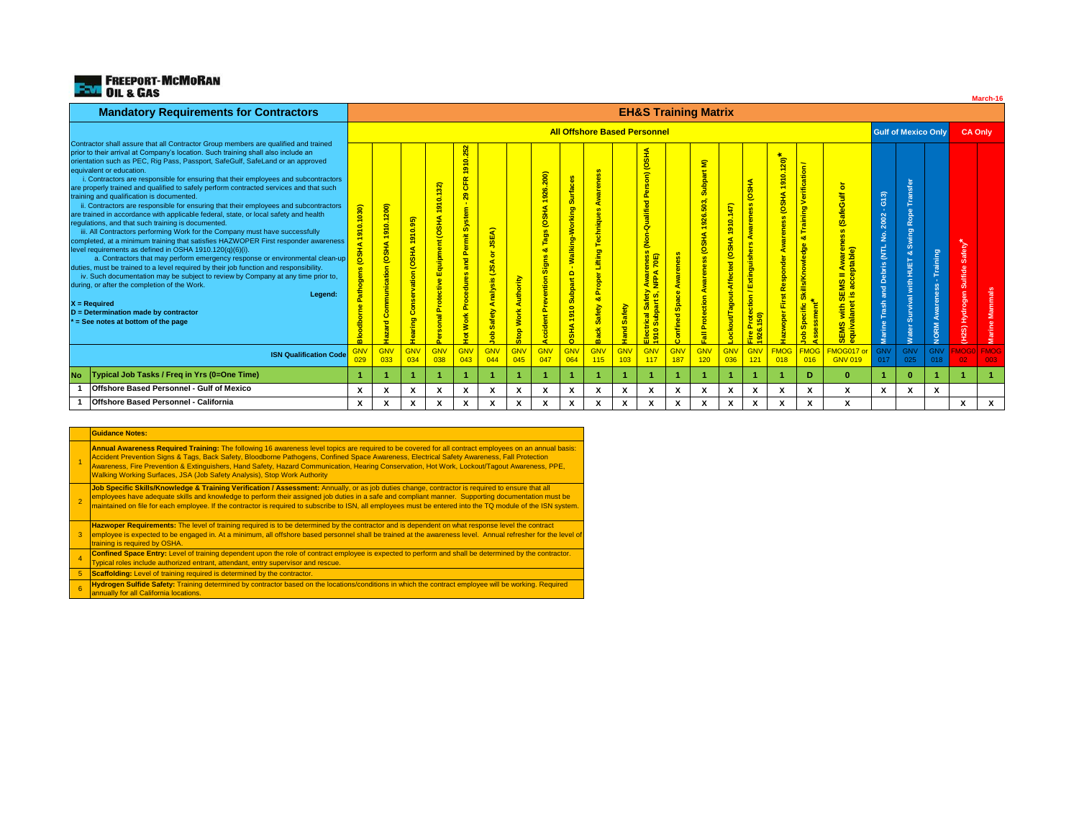

| <b>Mandatory Requirements for Contractors</b>                                                                                                                                                                                                                                                                                                                                                                                                                                                                                                                                                                                                                                                                                                                                                                                                                                                                                                                                                                                                                                                                                                                                                                                                                                                                                                                                                                      | <b>EH&amp;S Training Matrix</b> |                                     |                                     |                                                        |                                                                                                                         |                                                           |                                         |                                                                           |                                                                                                                                |                                                                      |                        |                                                                                                                                                                                                    |                                                 |                                                                                                           |                                                                                   |                                                                                         |                                                             |                                                                                  |                                                                                     |                                                                                                       |                      |                                                   |                                                      |                    |
|--------------------------------------------------------------------------------------------------------------------------------------------------------------------------------------------------------------------------------------------------------------------------------------------------------------------------------------------------------------------------------------------------------------------------------------------------------------------------------------------------------------------------------------------------------------------------------------------------------------------------------------------------------------------------------------------------------------------------------------------------------------------------------------------------------------------------------------------------------------------------------------------------------------------------------------------------------------------------------------------------------------------------------------------------------------------------------------------------------------------------------------------------------------------------------------------------------------------------------------------------------------------------------------------------------------------------------------------------------------------------------------------------------------------|---------------------------------|-------------------------------------|-------------------------------------|--------------------------------------------------------|-------------------------------------------------------------------------------------------------------------------------|-----------------------------------------------------------|-----------------------------------------|---------------------------------------------------------------------------|--------------------------------------------------------------------------------------------------------------------------------|----------------------------------------------------------------------|------------------------|----------------------------------------------------------------------------------------------------------------------------------------------------------------------------------------------------|-------------------------------------------------|-----------------------------------------------------------------------------------------------------------|-----------------------------------------------------------------------------------|-----------------------------------------------------------------------------------------|-------------------------------------------------------------|----------------------------------------------------------------------------------|-------------------------------------------------------------------------------------|-------------------------------------------------------------------------------------------------------|----------------------|---------------------------------------------------|------------------------------------------------------|--------------------|
|                                                                                                                                                                                                                                                                                                                                                                                                                                                                                                                                                                                                                                                                                                                                                                                                                                                                                                                                                                                                                                                                                                                                                                                                                                                                                                                                                                                                                    |                                 | <b>All Offshore Based Personnel</b> |                                     |                                                        |                                                                                                                         |                                                           |                                         |                                                                           |                                                                                                                                |                                                                      |                        |                                                                                                                                                                                                    |                                                 |                                                                                                           |                                                                                   |                                                                                         | <b>Gulf of Mexico Only</b>                                  |                                                                                  |                                                                                     | <b>CA Only</b>                                                                                        |                      |                                                   |                                                      |                    |
| Contractor shall assure that all Contractor Group members are qualified and trained<br>prior to their arrival at Company's location. Such training shall also include an<br>orientation such as PEC, Rig Pass, Passport, SafeGulf, SafeLand or an approved<br>equivalent or education.<br>i. Contractors are responsible for ensuring that their employees and subcontractors<br>are properly trained and qualified to safely perform contracted services and that such<br>training and qualification is documented.<br>ii. Contractors are responsible for ensuring that their employees and subcontractors<br>are trained in accordance with applicable federal, state, or local safety and health<br>regulations, and that such training is documented.<br>iii. All Contractors performing Work for the Company must have successfully<br>completed, at a minimum training that satisfies HAZWOPER First responder awareness<br>level requirements as defined in OSHA 1910.120(q)(6)(i).<br>a. Contractors that may perform emergency response or environmental clean-up<br>duties, must be trained to a level required by their job function and responsibility.<br>iv. Such documentation may be subject to review by Company at any time prior to,<br>during, or after the completion of the Work.<br>Legend:<br>X = Required<br>$D =$ Determination made by contractor<br>= See notes at bottom of the page | 1910.1030)<br>OSHA<br>읆         | 910.1200)<br>(OSHA<br>ommunication  | Hearing Conservation (OSHA 1910.95) | ন<br>$\sim$<br>õ<br>e,<br><b>OSHA</b><br>Equipmen<br>흉 | 0.252<br>$\overline{\delta}$<br>$\alpha$<br>造<br>$\mathbf{r}$<br>Permit System<br>and<br>Procedures<br><b>Work</b><br>휙 | ৰ<br><u>uas</u><br>g<br>÷s<br>Analy<br>$\rightarrow$<br>m | <b>Authority</b><br><b>Work</b><br>Stop | 26.200)<br>흑<br><b>OSHA</b><br>g<br><b>Sign</b><br>entio<br><b>P</b><br>붙 | <b>G</b><br>$rac{1}{2}$<br>gu <mark>bl</mark><br>ă<br>alking-1<br>$\Box$<br><b>Subpart</b><br>910<br>$\mathbf{r}$<br><b>ER</b> | $\omega$<br>echniqu<br>Lifting<br>Prope<br>oð.<br>Safety<br>ack<br>m | <b>Safety</b><br>Hand. | OSHA<br>$\widehat{\epsilon}$<br>m<br>Per<br>Qualified<br><b>Qoo</b><br>SS <sub>3</sub><br>enes<br><mark>70E)</mark><br><b>Saf</b><br>高<br>rical <sup>S</sup><br>Subpa<br>$\bullet$<br>$rac{8}{15}$ | e)<br>ware<br>$\omega$<br>Spac<br>ಕ<br>Confined | $\mathbf{\widehat{\mathbf{z}}}$<br>Subpart<br>926.503,<br><b>OSHA</b><br>eness<br>Awar<br>Protection<br>틦 | G<br>풍<br>ò<br>$\blacksquare$<br><b>ED</b><br><b>Affected</b><br>out/Tagout-<br>Ō | (OSHA<br>$\omega$<br>warene<br>⋖<br>$\omega$<br>Extinguisher<br>otection /<br>1926.150) | 永<br>$\frac{1}{20}$<br>$\bullet$<br>$\sigma$<br>۰<br>룲<br>ö | Verification<br>Training<br>οð<br><mark>Skills/Knowledge</mark><br>Specific<br>å | ð.<br>Awareness (SafeGulf<br>ptable)<br>$=$<br>SEMS with SEMS<br>equivalanet is acc | $-613)$<br>2002<br>$\frac{\dot{\mathsf{S}}}{2}$<br>Debris (NTL<br>and<br>Trash<br>Marine <sup>'</sup> | ិត<br>흥<br>ರಾ<br>ÌВГ | Training<br>$\overline{\text{ss}}$<br><b>NORM</b> | Safety <sup>*</sup><br>gen Sulfide<br>Hydro<br>(H2S) | Mammals<br>Marine  |
| <b>ISN Qualification Code</b>                                                                                                                                                                                                                                                                                                                                                                                                                                                                                                                                                                                                                                                                                                                                                                                                                                                                                                                                                                                                                                                                                                                                                                                                                                                                                                                                                                                      | GNV                             | <b>GNV</b><br>033                   | GNV<br>034                          | <b>GNV</b><br>038                                      | GNV<br>043                                                                                                              | <b>GNV</b><br>044                                         | <b>GNV</b><br>045                       | <b>GN</b><br>047                                                          | <b>GNV</b><br>064                                                                                                              | <b>GNV</b><br>115                                                    | GNV<br>103             | GNV<br>117                                                                                                                                                                                         | <b>GNV</b><br>187                               | GNV<br>120                                                                                                | GNV<br>036                                                                        | <b>GNV</b><br>121                                                                       | <b>FMOG</b><br>018                                          | <b>FMOG</b><br>016                                                               | FMOG017<br><b>GNV 019</b>                                                           | <b>GNV</b><br>017                                                                                     | <b>GNV</b><br>025    | <b>GNV</b><br>018                                 | <b>MOGO</b><br>02 <sub>1</sub>                       | <b>FMOG</b><br>003 |
| Typical Job Tasks / Freq in Yrs (0=One Time)<br>No                                                                                                                                                                                                                                                                                                                                                                                                                                                                                                                                                                                                                                                                                                                                                                                                                                                                                                                                                                                                                                                                                                                                                                                                                                                                                                                                                                 |                                 |                                     |                                     |                                                        |                                                                                                                         |                                                           |                                         |                                                                           |                                                                                                                                |                                                                      |                        |                                                                                                                                                                                                    |                                                 |                                                                                                           |                                                                                   |                                                                                         |                                                             | D.                                                                               | $\mathbf{0}$                                                                        |                                                                                                       | $\Omega$             |                                                   |                                                      |                    |
| Offshore Based Personnel - Gulf of Mexico                                                                                                                                                                                                                                                                                                                                                                                                                                                                                                                                                                                                                                                                                                                                                                                                                                                                                                                                                                                                                                                                                                                                                                                                                                                                                                                                                                          | X                               | х                                   | х                                   | x                                                      | х                                                                                                                       | x                                                         | X                                       | X                                                                         | X                                                                                                                              | x                                                                    | Х                      | х                                                                                                                                                                                                  | x                                               | х                                                                                                         | X                                                                                 | x                                                                                       | X                                                           | X                                                                                | x                                                                                   | X                                                                                                     | x                    | χ                                                 |                                                      |                    |
| Offshore Based Personnel - California                                                                                                                                                                                                                                                                                                                                                                                                                                                                                                                                                                                                                                                                                                                                                                                                                                                                                                                                                                                                                                                                                                                                                                                                                                                                                                                                                                              | X                               | X                                   | X                                   | x                                                      | х                                                                                                                       | x                                                         | X                                       | x                                                                         | x                                                                                                                              | x                                                                    | X                      | x                                                                                                                                                                                                  | X                                               | X                                                                                                         | x                                                                                 | x                                                                                       | X                                                           | x                                                                                | x                                                                                   |                                                                                                       |                      |                                                   | x                                                    | X                  |

**March-16**

## **Guidance Notes:**

1 **Annual Awareness Required Training:** The following 16 awareness level topics are required to be covered for all contract employees on an annual basis:

Accident Prevention Signs & Tags, Back Safety, Bloodborne Pathogens, Confined Space Awareness, Electrical Safety Awareness, Fall Protection<br>Awareness, Fire Prevention & Extinguishers, Hand Safety, Hazard Communication, Hea Walking Working Surfaces, JSA (Job Safety Analysis), Stop Work Authority

2 **Job Specific Skills/Knowledge & Training Verification / Assessment:** Annually, or as job duties change, contractor is required to ensure that all<br>employees have adequate skills and knowledge to perform their assigned job maintained on file for each employee. If the contractor is required to subscribe to ISN, all employees must be entered into the TQ module of the ISN system.

3 **Hazwoper Requirements:** The level of training required is to be determined by the contractor and is dependent on what response level the contract employee is expected to be engaged in. At a minimum, all offshore based personnel shall be trained at the awareness level. Annual refresher for the level of training is required by OSHA.

4 **Confined Space Entry:** Level of training dependent upon the role of contract employee is expected to perform and shall be determined by the contractor.

ypical roles include authorized entrant, attendant, entry supervisor and rescue.

5 **Scaffolding:** Level of training required is determined by the contractor.

6 **Hydrogen Sulfide Safety:** Training determined by contractor based on the locations/conditions in which the contract employee will be working. Required annually for all California locations.